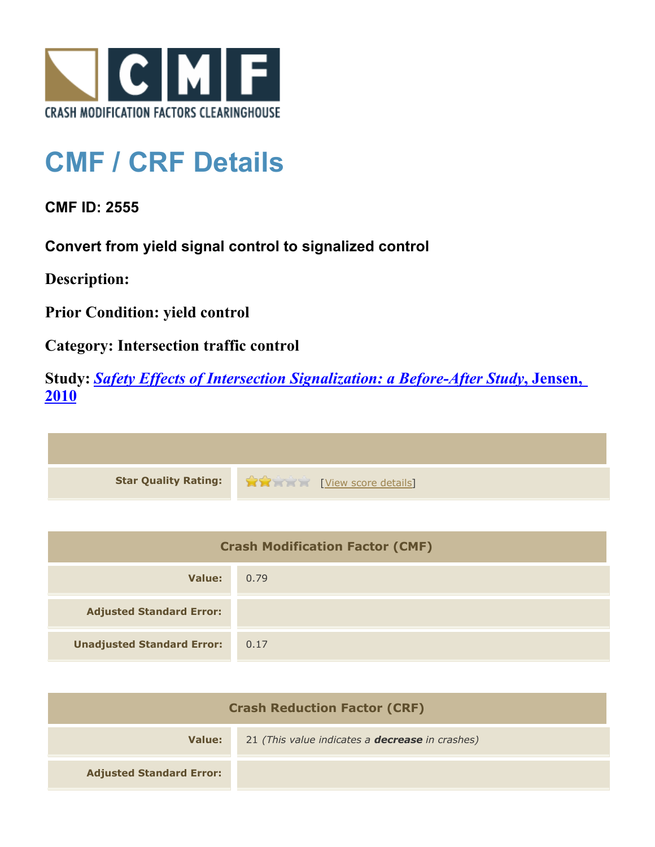

## **CMF / CRF Details**

**CMF ID: 2555**

**Convert from yield signal control to signalized control**

**Description:** 

**Prior Condition: yield control**

**Category: Intersection traffic control**

**Study:** *[Safety Effects of Intersection Signalization: a Before-After Study](http://www.cmfclearinghouse.org/study_detail.cfm?stid=170)***[, Jensen,](http://www.cmfclearinghouse.org/study_detail.cfm?stid=170) [2010](http://www.cmfclearinghouse.org/study_detail.cfm?stid=170)**



| <b>Crash Modification Factor (CMF)</b> |      |
|----------------------------------------|------|
| Value:                                 | 0.79 |
| <b>Adjusted Standard Error:</b>        |      |
| <b>Unadjusted Standard Error:</b>      | 0.17 |

| <b>Crash Reduction Factor (CRF)</b> |                                                        |
|-------------------------------------|--------------------------------------------------------|
| Value:                              | 21 (This value indicates a <b>decrease</b> in crashes) |
| <b>Adjusted Standard Error:</b>     |                                                        |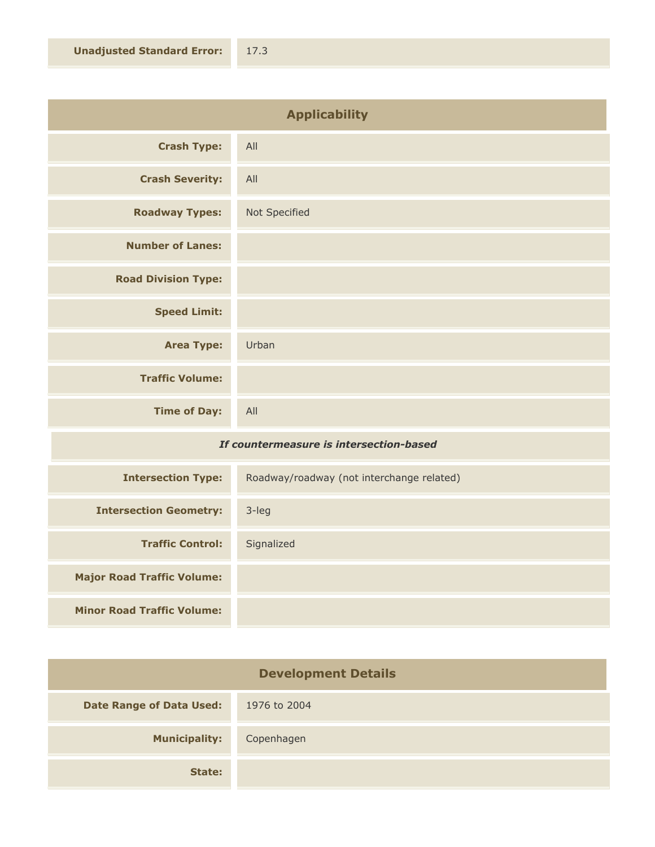| <b>Applicability</b>       |               |
|----------------------------|---------------|
| <b>Crash Type:</b>         | All           |
| <b>Crash Severity:</b>     | All           |
| <b>Roadway Types:</b>      | Not Specified |
| <b>Number of Lanes:</b>    |               |
| <b>Road Division Type:</b> |               |
| <b>Speed Limit:</b>        |               |
| <b>Area Type:</b>          | Urban         |
| <b>Traffic Volume:</b>     |               |
| <b>Time of Day:</b>        | All           |

## *If countermeasure is intersection-based*

| <b>Intersection Type:</b>         | Roadway/roadway (not interchange related) |
|-----------------------------------|-------------------------------------------|
| <b>Intersection Geometry:</b>     | 3-leg                                     |
| <b>Traffic Control:</b>           | Signalized                                |
| <b>Major Road Traffic Volume:</b> |                                           |
| <b>Minor Road Traffic Volume:</b> |                                           |

| <b>Development Details</b>      |              |
|---------------------------------|--------------|
| <b>Date Range of Data Used:</b> | 1976 to 2004 |
| <b>Municipality:</b>            | Copenhagen   |
| State:                          |              |